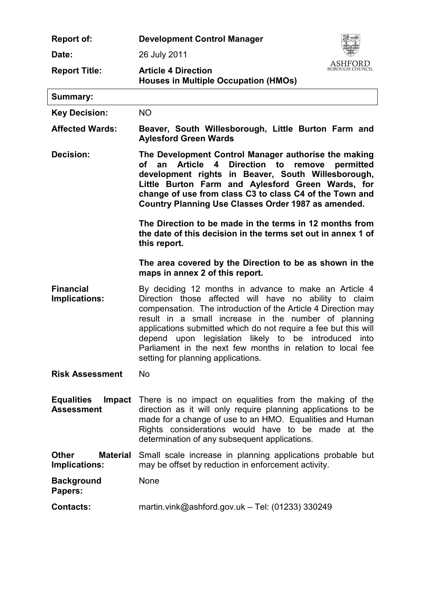| <b>Report of:</b>                                | <b>Development Control Manager</b>                                                                                                                                                                                                                                                                                                                                                                                                                                      |
|--------------------------------------------------|-------------------------------------------------------------------------------------------------------------------------------------------------------------------------------------------------------------------------------------------------------------------------------------------------------------------------------------------------------------------------------------------------------------------------------------------------------------------------|
| Date:                                            | 26 July 2011                                                                                                                                                                                                                                                                                                                                                                                                                                                            |
| <b>Report Title:</b>                             | BOROUGH COUNCIL<br><b>Article 4 Direction</b><br><b>Houses in Multiple Occupation (HMOs)</b>                                                                                                                                                                                                                                                                                                                                                                            |
| <b>Summary:</b>                                  |                                                                                                                                                                                                                                                                                                                                                                                                                                                                         |
| <b>Key Decision:</b>                             | <b>NO</b>                                                                                                                                                                                                                                                                                                                                                                                                                                                               |
| <b>Affected Wards:</b>                           | Beaver, South Willesborough, Little Burton Farm and<br><b>Aylesford Green Wards</b>                                                                                                                                                                                                                                                                                                                                                                                     |
| Decision:                                        | The Development Control Manager authorise the making<br>Article 4<br>Direction to<br>remove<br>of<br>an<br>permitted<br>development rights in Beaver, South Willesborough,<br>Little Burton Farm and Aylesford Green Wards, for<br>change of use from class C3 to class C4 of the Town and<br>Country Planning Use Classes Order 1987 as amended.                                                                                                                       |
|                                                  | The Direction to be made in the terms in 12 months from<br>the date of this decision in the terms set out in annex 1 of<br>this report.                                                                                                                                                                                                                                                                                                                                 |
|                                                  | The area covered by the Direction to be as shown in the<br>maps in annex 2 of this report.                                                                                                                                                                                                                                                                                                                                                                              |
| <b>Financial</b><br>Implications:                | By deciding 12 months in advance to make an Article 4<br>Direction those affected will have no ability to claim<br>compensation. The introduction of the Article 4 Direction may<br>result in a small increase in the number of planning<br>applications submitted which do not require a fee but this will<br>depend upon legislation likely to be introduced into<br>Parliament in the next few months in relation to local fee<br>setting for planning applications. |
| <b>Risk Assessment</b>                           | <b>No</b>                                                                                                                                                                                                                                                                                                                                                                                                                                                               |
| <b>Equalities</b><br>Impact<br><b>Assessment</b> | There is no impact on equalities from the making of the<br>direction as it will only require planning applications to be<br>made for a change of use to an HMO. Equalities and Human<br>Rights considerations would have to be made at the<br>determination of any subsequent applications.                                                                                                                                                                             |
| <b>Other</b><br><b>Material</b><br>Implications: | Small scale increase in planning applications probable but<br>may be offset by reduction in enforcement activity.                                                                                                                                                                                                                                                                                                                                                       |
| <b>Background</b><br>Papers:                     | <b>None</b>                                                                                                                                                                                                                                                                                                                                                                                                                                                             |
| <b>Contacts:</b>                                 | martin.vink@ashford.gov.uk - Tel: $(01233)$ 330249                                                                                                                                                                                                                                                                                                                                                                                                                      |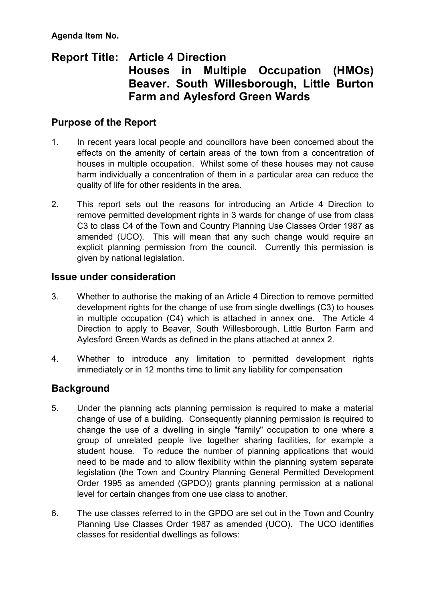**Agenda Item No.** 

# **Report Title: Article 4 Direction Houses in Multiple Occupation (HMOs) Beaver. South Willesborough, Little Burton Farm and Aylesford Green Wards**

## **Purpose of the Report**

- 1. In recent years local people and councillors have been concerned about the effects on the amenity of certain areas of the town from a concentration of houses in multiple occupation. Whilst some of these houses may not cause harm individually a concentration of them in a particular area can reduce the quality of life for other residents in the area.
- 2. This report sets out the reasons for introducing an Article 4 Direction to remove permitted development rights in 3 wards for change of use from class C3 to class C4 of the Town and Country Planning Use Classes Order 1987 as amended (UCO). This will mean that any such change would require an explicit planning permission from the council. Currently this permission is given by national legislation.

## **Issue under consideration**

- 3. Whether to authorise the making of an Article 4 Direction to remove permitted development rights for the change of use from single dwellings (C3) to houses in multiple occupation (C4) which is attached in annex one. The Article 4 Direction to apply to Beaver, South Willesborough, Little Burton Farm and Aylesford Green Wards as defined in the plans attached at annex 2.
- 4. Whether to introduce any limitation to permitted development rights immediately or in 12 months time to limit any liability for compensation

## **Background**

- 5. Under the planning acts planning permission is required to make a material change of use of a building. Consequently planning permission is required to change the use of a dwelling in single "family" occupation to one where a group of unrelated people live together sharing facilities, for example a student house. To reduce the number of planning applications that would need to be made and to allow flexibility within the planning system separate legislation (the Town and Country Planning General Permitted Development Order 1995 as amended (GPDO)) grants planning permission at a national level for certain changes from one use class to another.
- 6. The use classes referred to in the GPDO are set out in the Town and Country Planning Use Classes Order 1987 as amended (UCO). The UCO identifies classes for residential dwellings as follows: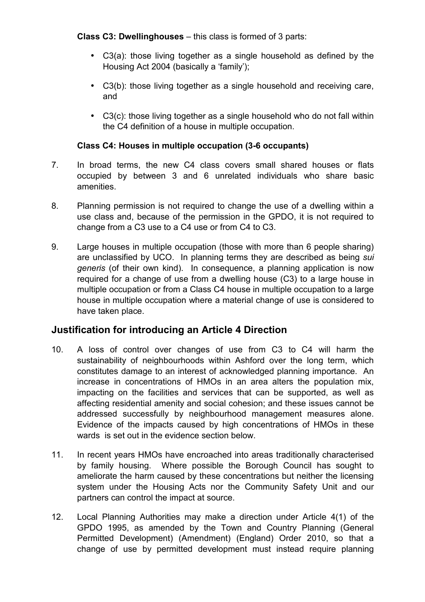**Class C3: Dwellinghouses** – this class is formed of 3 parts:

- C3(a): those living together as a single household as defined by the Housing Act 2004 (basically a 'family');
- C3(b): those living together as a single household and receiving care, and
- C3(c): those living together as a single household who do not fall within the C4 definition of a house in multiple occupation.

### **Class C4: Houses in multiple occupation (3-6 occupants)**

- 7. In broad terms, the new C4 class covers small shared houses or flats occupied by between 3 and 6 unrelated individuals who share basic amenities.
- 8. Planning permission is not required to change the use of a dwelling within a use class and, because of the permission in the GPDO, it is not required to change from a C3 use to a C4 use or from C4 to C3.
- 9. Large houses in multiple occupation (those with more than 6 people sharing) are unclassified by UCO. In planning terms they are described as being *sui generis* (of their own kind). In consequence, a planning application is now required for a change of use from a dwelling house (C3) to a large house in multiple occupation or from a Class C4 house in multiple occupation to a large house in multiple occupation where a material change of use is considered to have taken place.

## **Justification for introducing an Article 4 Direction**

- 10. A loss of control over changes of use from C3 to C4 will harm the sustainability of neighbourhoods within Ashford over the long term, which constitutes damage to an interest of acknowledged planning importance. An increase in concentrations of HMOs in an area alters the population mix, impacting on the facilities and services that can be supported, as well as affecting residential amenity and social cohesion; and these issues cannot be addressed successfully by neighbourhood management measures alone. Evidence of the impacts caused by high concentrations of HMOs in these wards is set out in the evidence section below
- 11. In recent years HMOs have encroached into areas traditionally characterised by family housing. Where possible the Borough Council has sought to ameliorate the harm caused by these concentrations but neither the licensing system under the Housing Acts nor the Community Safety Unit and our partners can control the impact at source.
- 12. Local Planning Authorities may make a direction under Article 4(1) of the GPDO 1995, as amended by the Town and Country Planning (General Permitted Development) (Amendment) (England) Order 2010, so that a change of use by permitted development must instead require planning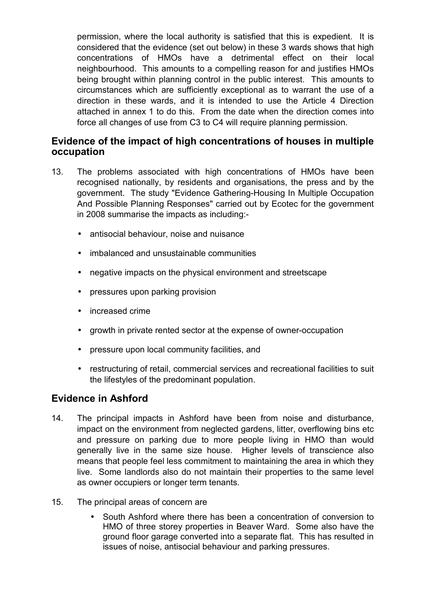permission, where the local authority is satisfied that this is expedient. It is considered that the evidence (set out below) in these 3 wards shows that high concentrations of HMOs have a detrimental effect on their local neighbourhood. This amounts to a compelling reason for and justifies HMOs being brought within planning control in the public interest. This amounts to circumstances which are sufficiently exceptional as to warrant the use of a direction in these wards, and it is intended to use the Article 4 Direction attached in annex 1 to do this. From the date when the direction comes into force all changes of use from C3 to C4 will require planning permission.

### **Evidence of the impact of high concentrations of houses in multiple occupation**

- 13. The problems associated with high concentrations of HMOs have been recognised nationally, by residents and organisations, the press and by the government. The study "Evidence Gathering-Housing In Multiple Occupation And Possible Planning Responses" carried out by Ecotec for the government in 2008 summarise the impacts as including:-
	- antisocial behaviour, noise and nuisance
	- imbalanced and unsustainable communities
	- negative impacts on the physical environment and streetscape
	- pressures upon parking provision
	- increased crime
	- growth in private rented sector at the expense of owner-occupation
	- pressure upon local community facilities, and
	- restructuring of retail, commercial services and recreational facilities to suit the lifestyles of the predominant population.

### **Evidence in Ashford**

- 14. The principal impacts in Ashford have been from noise and disturbance, impact on the environment from neglected gardens, litter, overflowing bins etc and pressure on parking due to more people living in HMO than would generally live in the same size house. Higher levels of transcience also means that people feel less commitment to maintaining the area in which they live. Some landlords also do not maintain their properties to the same level as owner occupiers or longer term tenants.
- 15. The principal areas of concern are
	- South Ashford where there has been a concentration of conversion to HMO of three storey properties in Beaver Ward. Some also have the ground floor garage converted into a separate flat. This has resulted in issues of noise, antisocial behaviour and parking pressures.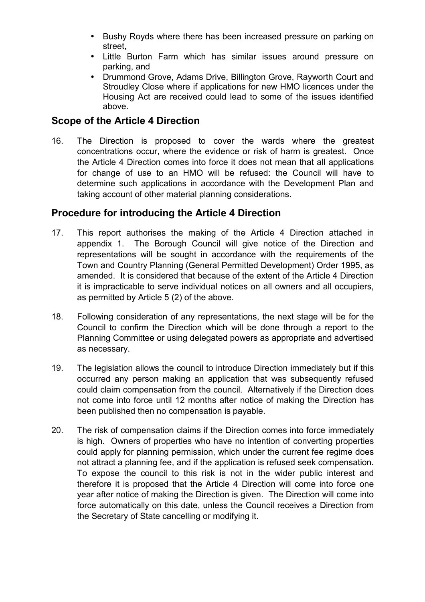- Bushy Royds where there has been increased pressure on parking on street,
- Little Burton Farm which has similar issues around pressure on parking, and
- Drummond Grove, Adams Drive, Billington Grove, Rayworth Court and Stroudley Close where if applications for new HMO licences under the Housing Act are received could lead to some of the issues identified above.

## **Scope of the Article 4 Direction**

16. The Direction is proposed to cover the wards where the greatest concentrations occur, where the evidence or risk of harm is greatest. Once the Article 4 Direction comes into force it does not mean that all applications for change of use to an HMO will be refused: the Council will have to determine such applications in accordance with the Development Plan and taking account of other material planning considerations.

## **Procedure for introducing the Article 4 Direction**

- 17. This report authorises the making of the Article 4 Direction attached in appendix 1. The Borough Council will give notice of the Direction and representations will be sought in accordance with the requirements of the Town and Country Planning (General Permitted Development) Order 1995, as amended. It is considered that because of the extent of the Article 4 Direction it is impracticable to serve individual notices on all owners and all occupiers, as permitted by Article 5 (2) of the above.
- 18. Following consideration of any representations, the next stage will be for the Council to confirm the Direction which will be done through a report to the Planning Committee or using delegated powers as appropriate and advertised as necessary.
- 19. The legislation allows the council to introduce Direction immediately but if this occurred any person making an application that was subsequently refused could claim compensation from the council. Alternatively if the Direction does not come into force until 12 months after notice of making the Direction has been published then no compensation is payable.
- 20. The risk of compensation claims if the Direction comes into force immediately is high. Owners of properties who have no intention of converting properties could apply for planning permission, which under the current fee regime does not attract a planning fee, and if the application is refused seek compensation. To expose the council to this risk is not in the wider public interest and therefore it is proposed that the Article 4 Direction will come into force one year after notice of making the Direction is given. The Direction will come into force automatically on this date, unless the Council receives a Direction from the Secretary of State cancelling or modifying it.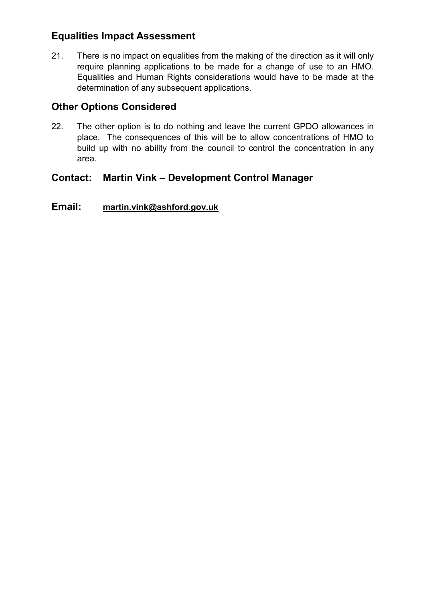## **Equalities Impact Assessment**

21. There is no impact on equalities from the making of the direction as it will only require planning applications to be made for a change of use to an HMO. Equalities and Human Rights considerations would have to be made at the determination of any subsequent applications.

## **Other Options Considered**

22. The other option is to do nothing and leave the current GPDO allowances in place. The consequences of this will be to allow concentrations of HMO to build up with no ability from the council to control the concentration in any area.

## **Contact: Martin Vink – Development Control Manager**

## **Email: [martin.vink@ashford.gov.uk](mailto:martin.vink@ashford.gov.uk)**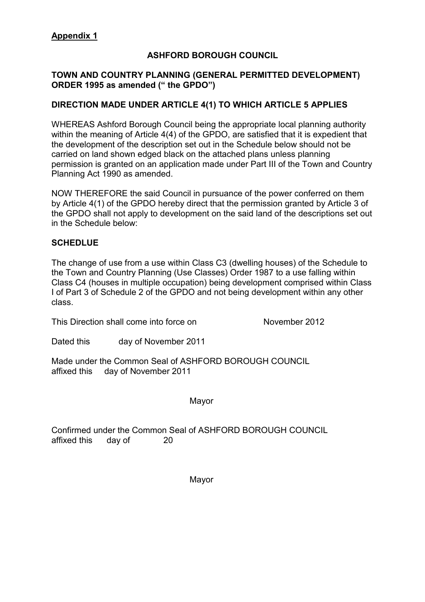#### **ASHFORD BOROUGH COUNCIL**

#### **TOWN AND COUNTRY PLANNING (GENERAL PERMITTED DEVELOPMENT) ORDER 1995 as amended (" the GPDO")**

#### **DIRECTION MADE UNDER ARTICLE 4(1) TO WHICH ARTICLE 5 APPLIES**

WHEREAS Ashford Borough Council being the appropriate local planning authority within the meaning of Article 4(4) of the GPDO, are satisfied that it is expedient that the development of the description set out in the Schedule below should not be carried on land shown edged black on the attached plans unless planning permission is granted on an application made under Part III of the Town and Country Planning Act 1990 as amended.

NOW THEREFORE the said Council in pursuance of the power conferred on them by Article 4(1) of the GPDO hereby direct that the permission granted by Article 3 of the GPDO shall not apply to development on the said land of the descriptions set out in the Schedule below:

#### **SCHEDLUE**

The change of use from a use within Class C3 (dwelling houses) of the Schedule to the Town and Country Planning (Use Classes) Order 1987 to a use falling within Class C4 (houses in multiple occupation) being development comprised within Class I of Part 3 of Schedule 2 of the GPDO and not being development within any other class.

This Direction shall come into force on November 2012

Dated this day of November 2011

Made under the Common Seal of ASHFORD BOROUGH COUNCIL affixed this day of November 2011

Mayor

Confirmed under the Common Seal of ASHFORD BOROUGH COUNCIL affixed this day of 20

Mayor